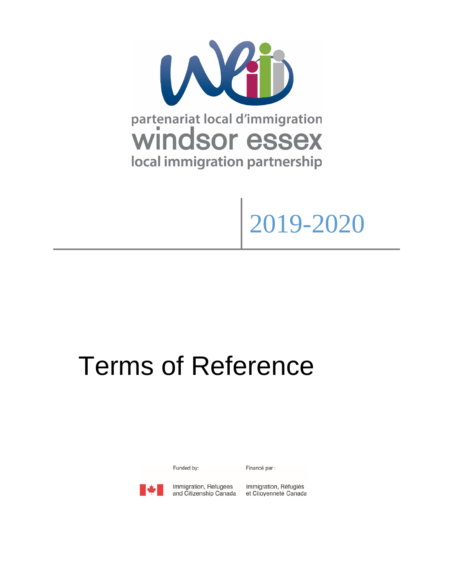

# 2019-2020

# Terms of Reference

Funded by:

Financé par :



Immigration, Refugees and Citizenship Canada Immigration, Réfugiés et Citoyenneté Canada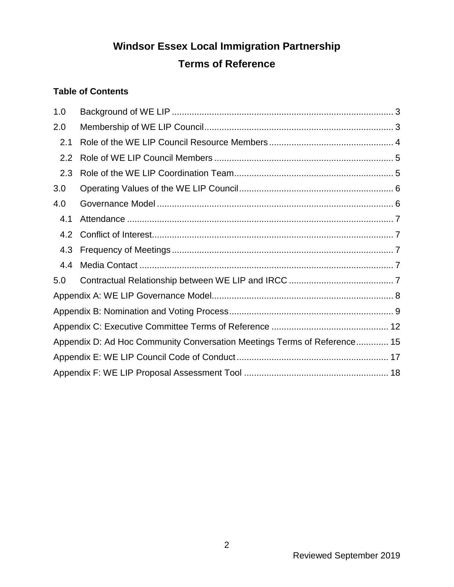# **Windsor Essex Local Immigration Partnership**

# **Terms of Reference**

#### **Table of Contents**

| 1.0                                                                      |  |  |  |
|--------------------------------------------------------------------------|--|--|--|
| 2.0                                                                      |  |  |  |
| 2.1                                                                      |  |  |  |
| 2.2                                                                      |  |  |  |
| 2.3                                                                      |  |  |  |
| 3.0                                                                      |  |  |  |
| 4.0                                                                      |  |  |  |
| 4.1                                                                      |  |  |  |
| 4.2                                                                      |  |  |  |
| 4.3                                                                      |  |  |  |
| 4.4                                                                      |  |  |  |
| 5.0                                                                      |  |  |  |
|                                                                          |  |  |  |
|                                                                          |  |  |  |
|                                                                          |  |  |  |
| Appendix D: Ad Hoc Community Conversation Meetings Terms of Reference 15 |  |  |  |
|                                                                          |  |  |  |
|                                                                          |  |  |  |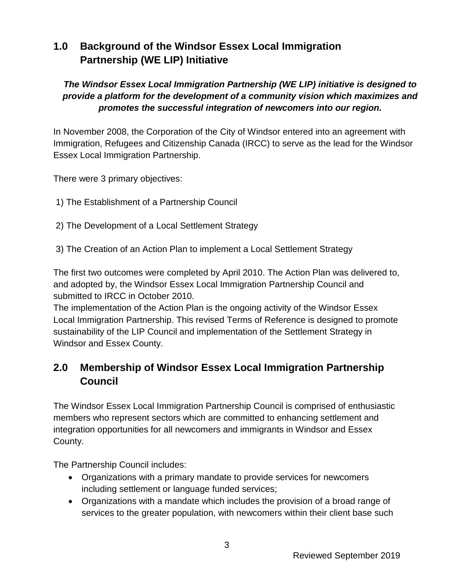# <span id="page-2-0"></span>**1.0 Background of the Windsor Essex Local Immigration Partnership (WE LIP) Initiative**

#### *The Windsor Essex Local Immigration Partnership (WE LIP) initiative is designed to provide a platform for the development of a community vision which maximizes and promotes the successful integration of newcomers into our region.*

In November 2008, the Corporation of the City of Windsor entered into an agreement with Immigration, Refugees and Citizenship Canada (IRCC) to serve as the lead for the Windsor Essex Local Immigration Partnership.

There were 3 primary objectives:

- 1) The Establishment of a Partnership Council
- 2) The Development of a Local Settlement Strategy
- 3) The Creation of an Action Plan to implement a Local Settlement Strategy

The first two outcomes were completed by April 2010. The Action Plan was delivered to, and adopted by, the Windsor Essex Local Immigration Partnership Council and submitted to IRCC in October 2010.

The implementation of the Action Plan is the ongoing activity of the Windsor Essex Local Immigration Partnership. This revised Terms of Reference is designed to promote sustainability of the LIP Council and implementation of the Settlement Strategy in Windsor and Essex County.

# <span id="page-2-1"></span>**2.0 Membership of Windsor Essex Local Immigration Partnership Council**

The Windsor Essex Local Immigration Partnership Council is comprised of enthusiastic members who represent sectors which are committed to enhancing settlement and integration opportunities for all newcomers and immigrants in Windsor and Essex County.

The Partnership Council includes:

- Organizations with a primary mandate to provide services for newcomers including settlement or language funded services;
- Organizations with a mandate which includes the provision of a broad range of services to the greater population, with newcomers within their client base such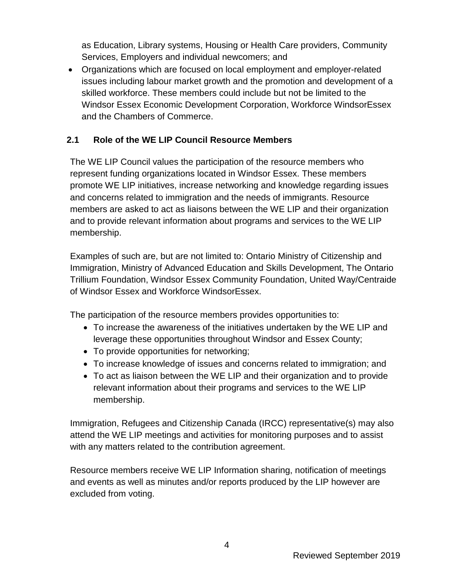as Education, Library systems, Housing or Health Care providers, Community Services, Employers and individual newcomers; and

• Organizations which are focused on local employment and employer-related issues including labour market growth and the promotion and development of a skilled workforce. These members could include but not be limited to the Windsor Essex Economic Development Corporation, Workforce WindsorEssex and the Chambers of Commerce.

#### <span id="page-3-0"></span>**2.1 Role of the WE LIP Council Resource Members**

The WE LIP Council values the participation of the resource members who represent funding organizations located in Windsor Essex. These members promote WE LIP initiatives, increase networking and knowledge regarding issues and concerns related to immigration and the needs of immigrants. Resource members are asked to act as liaisons between the WE LIP and their organization and to provide relevant information about programs and services to the WE LIP membership.

Examples of such are, but are not limited to: Ontario Ministry of Citizenship and Immigration, Ministry of Advanced Education and Skills Development, The Ontario Trillium Foundation, Windsor Essex Community Foundation, United Way/Centraide of Windsor Essex and Workforce WindsorEssex.

The participation of the resource members provides opportunities to:

- To increase the awareness of the initiatives undertaken by the WE LIP and leverage these opportunities throughout Windsor and Essex County;
- To provide opportunities for networking;
- To increase knowledge of issues and concerns related to immigration; and
- To act as liaison between the WE LIP and their organization and to provide relevant information about their programs and services to the WE LIP membership.

Immigration, Refugees and Citizenship Canada (IRCC) representative(s) may also attend the WE LIP meetings and activities for monitoring purposes and to assist with any matters related to the contribution agreement.

Resource members receive WE LIP Information sharing, notification of meetings and events as well as minutes and/or reports produced by the LIP however are excluded from voting.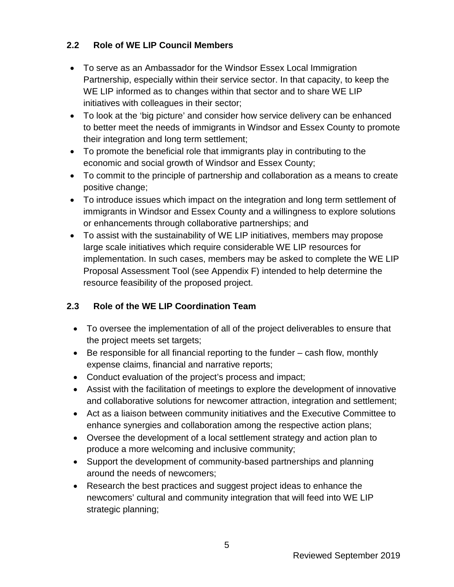#### <span id="page-4-0"></span>**2.2 Role of WE LIP Council Members**

- To serve as an Ambassador for the Windsor Essex Local Immigration Partnership, especially within their service sector. In that capacity, to keep the WE LIP informed as to changes within that sector and to share WE LIP initiatives with colleagues in their sector;
- To look at the 'big picture' and consider how service delivery can be enhanced to better meet the needs of immigrants in Windsor and Essex County to promote their integration and long term settlement;
- To promote the beneficial role that immigrants play in contributing to the economic and social growth of Windsor and Essex County;
- To commit to the principle of partnership and collaboration as a means to create positive change;
- To introduce issues which impact on the integration and long term settlement of immigrants in Windsor and Essex County and a willingness to explore solutions or enhancements through collaborative partnerships; and
- To assist with the sustainability of WE LIP initiatives, members may propose large scale initiatives which require considerable WE LIP resources for implementation. In such cases, members may be asked to complete the WE LIP Proposal Assessment Tool (see Appendix F) intended to help determine the resource feasibility of the proposed project.

#### <span id="page-4-1"></span>**2.3 Role of the WE LIP Coordination Team**

- To oversee the implementation of all of the project deliverables to ensure that the project meets set targets;
- Be responsible for all financial reporting to the funder cash flow, monthly expense claims, financial and narrative reports;
- Conduct evaluation of the project's process and impact;
- Assist with the facilitation of meetings to explore the development of innovative and collaborative solutions for newcomer attraction, integration and settlement;
- Act as a liaison between community initiatives and the Executive Committee to enhance synergies and collaboration among the respective action plans;
- Oversee the development of a local settlement strategy and action plan to produce a more welcoming and inclusive community;
- Support the development of community-based partnerships and planning around the needs of newcomers;
- Research the best practices and suggest project ideas to enhance the newcomers' cultural and community integration that will feed into WE LIP strategic planning;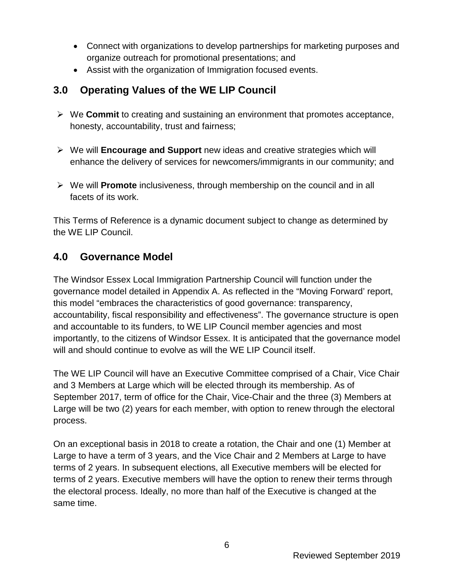- Connect with organizations to develop partnerships for marketing purposes and organize outreach for promotional presentations; and
- Assist with the organization of Immigration focused events.

### <span id="page-5-0"></span>**3.0 Operating Values of the WE LIP Council**

- We **Commit** to creating and sustaining an environment that promotes acceptance, honesty, accountability, trust and fairness;
- We will **Encourage and Support** new ideas and creative strategies which will enhance the delivery of services for newcomers/immigrants in our community; and
- We will **Promote** inclusiveness, through membership on the council and in all facets of its work.

This Terms of Reference is a dynamic document subject to change as determined by the WE LIP Council.

#### <span id="page-5-1"></span>**4.0 Governance Model**

The Windsor Essex Local Immigration Partnership Council will function under the governance model detailed in Appendix A. As reflected in the "Moving Forward' report, this model "embraces the characteristics of good governance: transparency, accountability, fiscal responsibility and effectiveness". The governance structure is open and accountable to its funders, to WE LIP Council member agencies and most importantly, to the citizens of Windsor Essex. It is anticipated that the governance model will and should continue to evolve as will the WE LIP Council itself.

The WE LIP Council will have an Executive Committee comprised of a Chair, Vice Chair and 3 Members at Large which will be elected through its membership. As of September 2017, term of office for the Chair, Vice-Chair and the three (3) Members at Large will be two (2) years for each member, with option to renew through the electoral process.

On an exceptional basis in 2018 to create a rotation, the Chair and one (1) Member at Large to have a term of 3 years, and the Vice Chair and 2 Members at Large to have terms of 2 years. In subsequent elections, all Executive members will be elected for terms of 2 years. Executive members will have the option to renew their terms through the electoral process. Ideally, no more than half of the Executive is changed at the same time.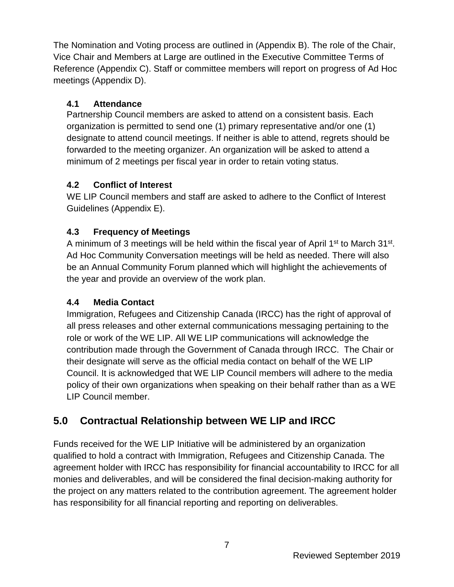The Nomination and Voting process are outlined in (Appendix B). The role of the Chair, Vice Chair and Members at Large are outlined in the Executive Committee Terms of Reference (Appendix C). Staff or committee members will report on progress of Ad Hoc meetings (Appendix D).

#### <span id="page-6-0"></span>**4.1 Attendance**

Partnership Council members are asked to attend on a consistent basis. Each organization is permitted to send one (1) primary representative and/or one (1) designate to attend council meetings. If neither is able to attend, regrets should be forwarded to the meeting organizer. An organization will be asked to attend a minimum of 2 meetings per fiscal year in order to retain voting status.

#### <span id="page-6-1"></span>**4.2 Conflict of Interest**

WE LIP Council members and staff are asked to adhere to the Conflict of Interest Guidelines (Appendix E).

#### <span id="page-6-2"></span>**4.3 Frequency of Meetings**

A minimum of 3 meetings will be held within the fiscal year of April 1<sup>st</sup> to March 31<sup>st</sup>. Ad Hoc Community Conversation meetings will be held as needed. There will also be an Annual Community Forum planned which will highlight the achievements of the year and provide an overview of the work plan.

#### <span id="page-6-3"></span>**4.4 Media Contact**

Immigration, Refugees and Citizenship Canada (IRCC) has the right of approval of all press releases and other external communications messaging pertaining to the role or work of the WE LIP. All WE LIP communications will acknowledge the contribution made through the Government of Canada through IRCC. The Chair or their designate will serve as the official media contact on behalf of the WE LIP Council. It is acknowledged that WE LIP Council members will adhere to the media policy of their own organizations when speaking on their behalf rather than as a WE LIP Council member.

# <span id="page-6-4"></span>**5.0 Contractual Relationship between WE LIP and IRCC**

Funds received for the WE LIP Initiative will be administered by an organization qualified to hold a contract with Immigration, Refugees and Citizenship Canada. The agreement holder with IRCC has responsibility for financial accountability to IRCC for all monies and deliverables, and will be considered the final decision-making authority for the project on any matters related to the contribution agreement. The agreement holder has responsibility for all financial reporting and reporting on deliverables.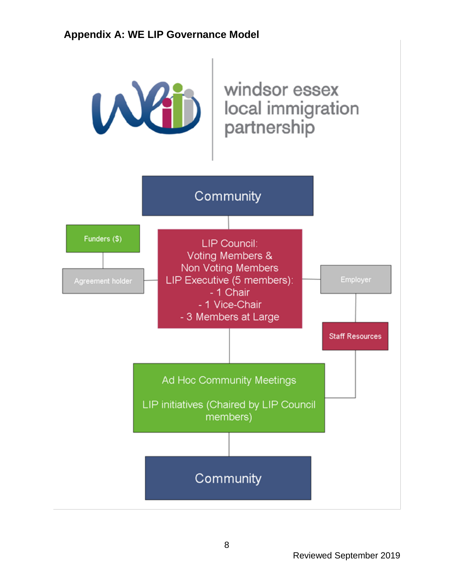# <span id="page-7-0"></span>**Appendix A: WE LIP Governance Model**

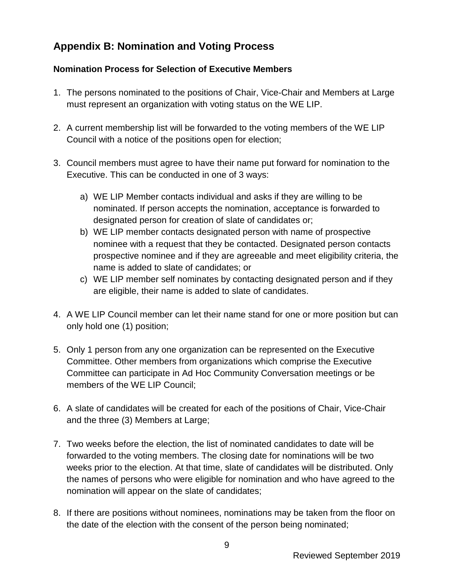# <span id="page-8-0"></span>**Appendix B: Nomination and Voting Process**

#### **Nomination Process for Selection of Executive Members**

- 1. The persons nominated to the positions of Chair, Vice-Chair and Members at Large must represent an organization with voting status on the WE LIP.
- 2. A current membership list will be forwarded to the voting members of the WE LIP Council with a notice of the positions open for election;
- 3. Council members must agree to have their name put forward for nomination to the Executive. This can be conducted in one of 3 ways:
	- a) WE LIP Member contacts individual and asks if they are willing to be nominated. If person accepts the nomination, acceptance is forwarded to designated person for creation of slate of candidates or;
	- b) WE LIP member contacts designated person with name of prospective nominee with a request that they be contacted. Designated person contacts prospective nominee and if they are agreeable and meet eligibility criteria, the name is added to slate of candidates; or
	- c) WE LIP member self nominates by contacting designated person and if they are eligible, their name is added to slate of candidates.
- 4. A WE LIP Council member can let their name stand for one or more position but can only hold one (1) position;
- 5. Only 1 person from any one organization can be represented on the Executive Committee. Other members from organizations which comprise the Executive Committee can participate in Ad Hoc Community Conversation meetings or be members of the WE LIP Council;
- 6. A slate of candidates will be created for each of the positions of Chair, Vice-Chair and the three (3) Members at Large;
- 7. Two weeks before the election, the list of nominated candidates to date will be forwarded to the voting members. The closing date for nominations will be two weeks prior to the election. At that time, slate of candidates will be distributed. Only the names of persons who were eligible for nomination and who have agreed to the nomination will appear on the slate of candidates;
- 8. If there are positions without nominees, nominations may be taken from the floor on the date of the election with the consent of the person being nominated;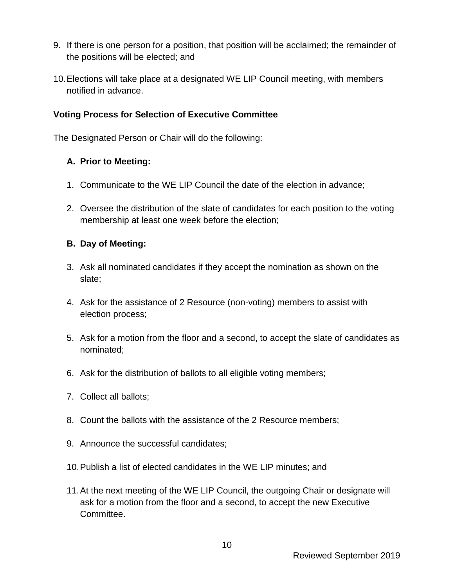- 9. If there is one person for a position, that position will be acclaimed; the remainder of the positions will be elected; and
- 10.Elections will take place at a designated WE LIP Council meeting, with members notified in advance.

#### **Voting Process for Selection of Executive Committee**

The Designated Person or Chair will do the following:

#### **A. Prior to Meeting:**

- 1. Communicate to the WE LIP Council the date of the election in advance;
- 2. Oversee the distribution of the slate of candidates for each position to the voting membership at least one week before the election;

#### **B. Day of Meeting:**

- 3. Ask all nominated candidates if they accept the nomination as shown on the slate;
- 4. Ask for the assistance of 2 Resource (non-voting) members to assist with election process;
- 5. Ask for a motion from the floor and a second, to accept the slate of candidates as nominated;
- 6. Ask for the distribution of ballots to all eligible voting members;
- 7. Collect all ballots;
- 8. Count the ballots with the assistance of the 2 Resource members;
- 9. Announce the successful candidates;
- 10.Publish a list of elected candidates in the WE LIP minutes; and
- 11.At the next meeting of the WE LIP Council, the outgoing Chair or designate will ask for a motion from the floor and a second, to accept the new Executive Committee.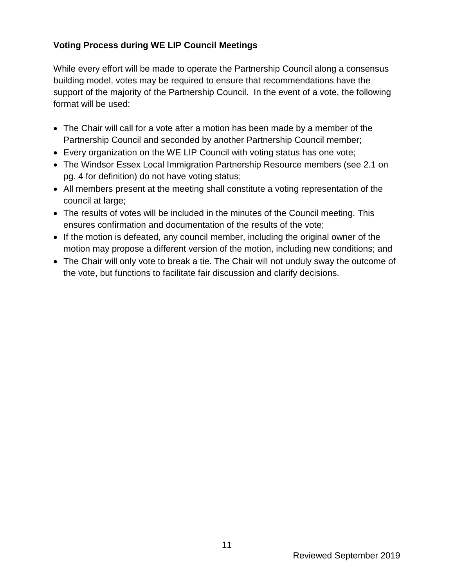#### **Voting Process during WE LIP Council Meetings**

While every effort will be made to operate the Partnership Council along a consensus building model, votes may be required to ensure that recommendations have the support of the majority of the Partnership Council. In the event of a vote, the following format will be used:

- The Chair will call for a vote after a motion has been made by a member of the Partnership Council and seconded by another Partnership Council member;
- Every organization on the WE LIP Council with voting status has one vote;
- The Windsor Essex Local Immigration Partnership Resource members (see 2.1 on pg. 4 for definition) do not have voting status;
- All members present at the meeting shall constitute a voting representation of the council at large;
- The results of votes will be included in the minutes of the Council meeting. This ensures confirmation and documentation of the results of the vote;
- If the motion is defeated, any council member, including the original owner of the motion may propose a different version of the motion, including new conditions; and
- The Chair will only vote to break a tie. The Chair will not unduly sway the outcome of the vote, but functions to facilitate fair discussion and clarify decisions.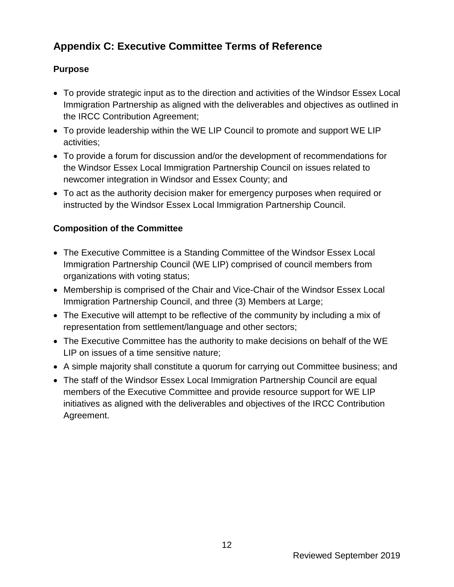# <span id="page-11-0"></span>**Appendix C: Executive Committee Terms of Reference**

#### **Purpose**

- To provide strategic input as to the direction and activities of the Windsor Essex Local Immigration Partnership as aligned with the deliverables and objectives as outlined in the IRCC Contribution Agreement;
- To provide leadership within the WE LIP Council to promote and support WE LIP activities;
- To provide a forum for discussion and/or the development of recommendations for the Windsor Essex Local Immigration Partnership Council on issues related to newcomer integration in Windsor and Essex County; and
- To act as the authority decision maker for emergency purposes when required or instructed by the Windsor Essex Local Immigration Partnership Council.

#### **Composition of the Committee**

- The Executive Committee is a Standing Committee of the Windsor Essex Local Immigration Partnership Council (WE LIP) comprised of council members from organizations with voting status;
- Membership is comprised of the Chair and Vice-Chair of the Windsor Essex Local Immigration Partnership Council, and three (3) Members at Large;
- The Executive will attempt to be reflective of the community by including a mix of representation from settlement/language and other sectors;
- The Executive Committee has the authority to make decisions on behalf of the WE LIP on issues of a time sensitive nature;
- A simple majority shall constitute a quorum for carrying out Committee business; and
- The staff of the Windsor Essex Local Immigration Partnership Council are equal members of the Executive Committee and provide resource support for WE LIP initiatives as aligned with the deliverables and objectives of the IRCC Contribution Agreement.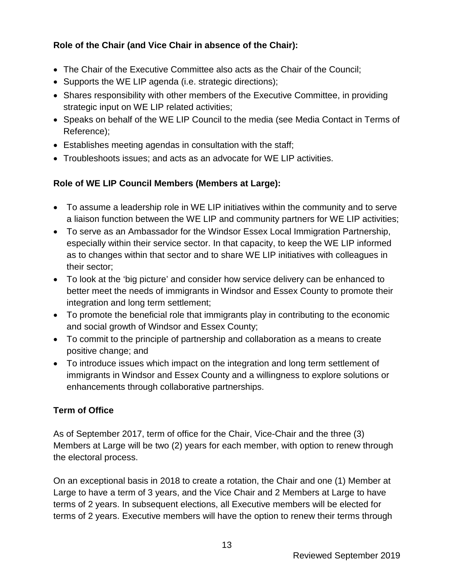#### **Role of the Chair (and Vice Chair in absence of the Chair):**

- The Chair of the Executive Committee also acts as the Chair of the Council;
- Supports the WE LIP agenda (i.e. strategic directions);
- Shares responsibility with other members of the Executive Committee, in providing strategic input on WE LIP related activities;
- Speaks on behalf of the WE LIP Council to the media (see Media Contact in Terms of Reference);
- Establishes meeting agendas in consultation with the staff;
- Troubleshoots issues; and acts as an advocate for WE LIP activities.

#### **Role of WE LIP Council Members (Members at Large):**

- To assume a leadership role in WE LIP initiatives within the community and to serve a liaison function between the WE LIP and community partners for WE LIP activities;
- To serve as an Ambassador for the Windsor Essex Local Immigration Partnership, especially within their service sector. In that capacity, to keep the WE LIP informed as to changes within that sector and to share WE LIP initiatives with colleagues in their sector;
- To look at the 'big picture' and consider how service delivery can be enhanced to better meet the needs of immigrants in Windsor and Essex County to promote their integration and long term settlement;
- To promote the beneficial role that immigrants play in contributing to the economic and social growth of Windsor and Essex County;
- To commit to the principle of partnership and collaboration as a means to create positive change; and
- To introduce issues which impact on the integration and long term settlement of immigrants in Windsor and Essex County and a willingness to explore solutions or enhancements through collaborative partnerships.

#### **Term of Office**

As of September 2017, term of office for the Chair, Vice-Chair and the three (3) Members at Large will be two (2) years for each member, with option to renew through the electoral process.

On an exceptional basis in 2018 to create a rotation, the Chair and one (1) Member at Large to have a term of 3 years, and the Vice Chair and 2 Members at Large to have terms of 2 years. In subsequent elections, all Executive members will be elected for terms of 2 years. Executive members will have the option to renew their terms through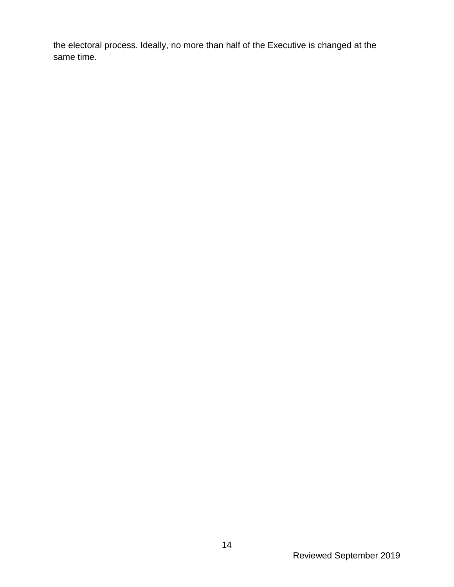the electoral process. Ideally, no more than half of the Executive is changed at the same time.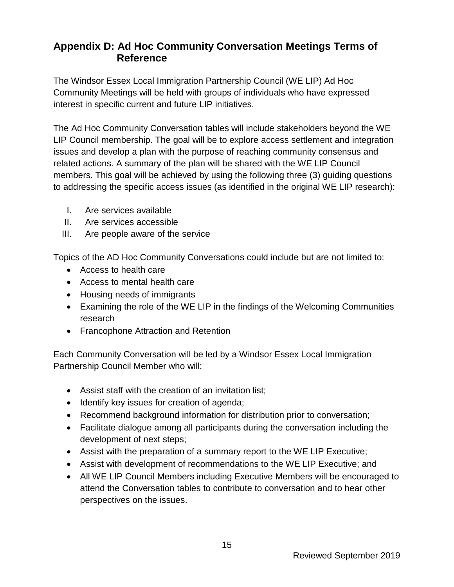# <span id="page-14-0"></span>**Appendix D: Ad Hoc Community Conversation Meetings Terms of Reference**

The Windsor Essex Local Immigration Partnership Council (WE LIP) Ad Hoc Community Meetings will be held with groups of individuals who have expressed interest in specific current and future LIP initiatives.

The Ad Hoc Community Conversation tables will include stakeholders beyond the WE LIP Council membership. The goal will be to explore access settlement and integration issues and develop a plan with the purpose of reaching community consensus and related actions. A summary of the plan will be shared with the WE LIP Council members. This goal will be achieved by using the following three (3) guiding questions to addressing the specific access issues (as identified in the original WE LIP research):

- I. Are services available
- II. Are services accessible
- III. Are people aware of the service

Topics of the AD Hoc Community Conversations could include but are not limited to:

- Access to health care
- Access to mental health care
- Housing needs of immigrants
- Examining the role of the WE LIP in the findings of the Welcoming Communities research
- Francophone Attraction and Retention

Each Community Conversation will be led by a Windsor Essex Local Immigration Partnership Council Member who will:

- Assist staff with the creation of an invitation list;
- Identify key issues for creation of agenda;
- Recommend background information for distribution prior to conversation;
- Facilitate dialogue among all participants during the conversation including the development of next steps;
- Assist with the preparation of a summary report to the WE LIP Executive;
- Assist with development of recommendations to the WE LIP Executive; and
- All WE LIP Council Members including Executive Members will be encouraged to attend the Conversation tables to contribute to conversation and to hear other perspectives on the issues.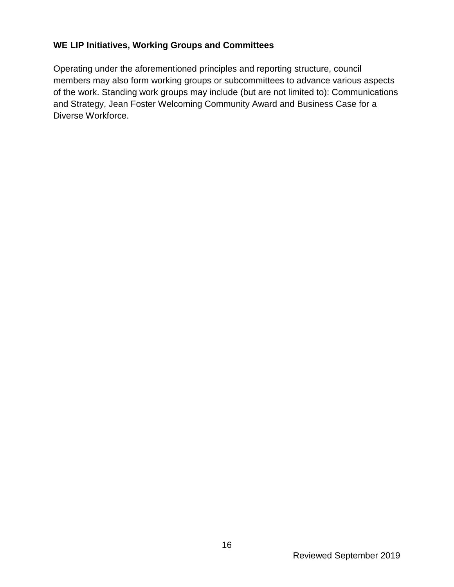#### **WE LIP Initiatives, Working Groups and Committees**

Operating under the aforementioned principles and reporting structure, council members may also form working groups or subcommittees to advance various aspects of the work. Standing work groups may include (but are not limited to): Communications and Strategy, Jean Foster Welcoming Community Award and Business Case for a Diverse Workforce.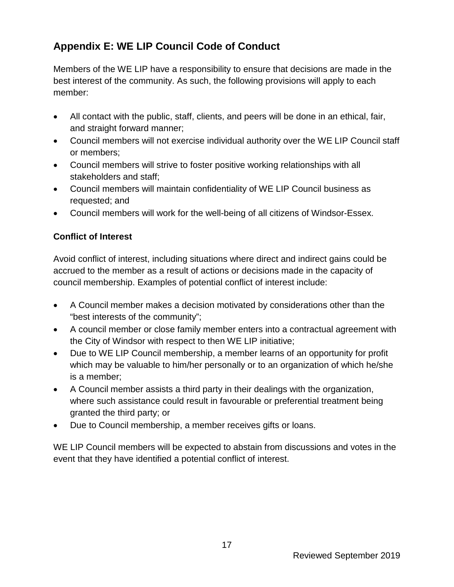# <span id="page-16-0"></span>**Appendix E: WE LIP Council Code of Conduct**

Members of the WE LIP have a responsibility to ensure that decisions are made in the best interest of the community. As such, the following provisions will apply to each member:

- All contact with the public, staff, clients, and peers will be done in an ethical, fair, and straight forward manner;
- Council members will not exercise individual authority over the WE LIP Council staff or members;
- Council members will strive to foster positive working relationships with all stakeholders and staff;
- Council members will maintain confidentiality of WE LIP Council business as requested; and
- Council members will work for the well-being of all citizens of Windsor-Essex.

#### **Conflict of Interest**

Avoid conflict of interest, including situations where direct and indirect gains could be accrued to the member as a result of actions or decisions made in the capacity of council membership. Examples of potential conflict of interest include:

- A Council member makes a decision motivated by considerations other than the "best interests of the community";
- A council member or close family member enters into a contractual agreement with the City of Windsor with respect to then WE LIP initiative;
- Due to WE LIP Council membership, a member learns of an opportunity for profit which may be valuable to him/her personally or to an organization of which he/she is a member;
- A Council member assists a third party in their dealings with the organization, where such assistance could result in favourable or preferential treatment being granted the third party; or
- Due to Council membership, a member receives gifts or loans.

WE LIP Council members will be expected to abstain from discussions and votes in the event that they have identified a potential conflict of interest.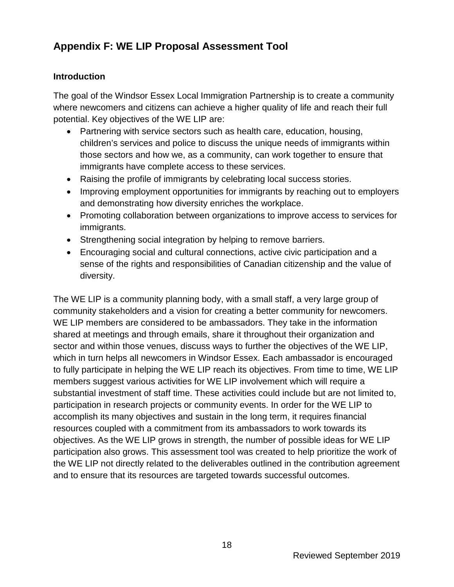# <span id="page-17-0"></span>**Appendix F: WE LIP Proposal Assessment Tool**

#### **Introduction**

The goal of the Windsor Essex Local Immigration Partnership is to create a community where newcomers and citizens can achieve a higher quality of life and reach their full potential. Key objectives of the WE LIP are:

- Partnering with service sectors such as health care, education, housing, children's services and police to discuss the unique needs of immigrants within those sectors and how we, as a community, can work together to ensure that immigrants have complete access to these services.
- Raising the profile of immigrants by celebrating local success stories.
- Improving employment opportunities for immigrants by reaching out to employers and demonstrating how diversity enriches the workplace.
- Promoting collaboration between organizations to improve access to services for immigrants.
- Strengthening social integration by helping to remove barriers.
- Encouraging social and cultural connections, active civic participation and a sense of the rights and responsibilities of Canadian citizenship and the value of diversity.

The WE LIP is a community planning body, with a small staff, a very large group of community stakeholders and a vision for creating a better community for newcomers. WE LIP members are considered to be ambassadors. They take in the information shared at meetings and through emails, share it throughout their organization and sector and within those venues, discuss ways to further the objectives of the WE LIP, which in turn helps all newcomers in Windsor Essex. Each ambassador is encouraged to fully participate in helping the WE LIP reach its objectives. From time to time, WE LIP members suggest various activities for WE LIP involvement which will require a substantial investment of staff time. These activities could include but are not limited to, participation in research projects or community events. In order for the WE LIP to accomplish its many objectives and sustain in the long term, it requires financial resources coupled with a commitment from its ambassadors to work towards its objectives. As the WE LIP grows in strength, the number of possible ideas for WE LIP participation also grows. This assessment tool was created to help prioritize the work of the WE LIP not directly related to the deliverables outlined in the contribution agreement and to ensure that its resources are targeted towards successful outcomes.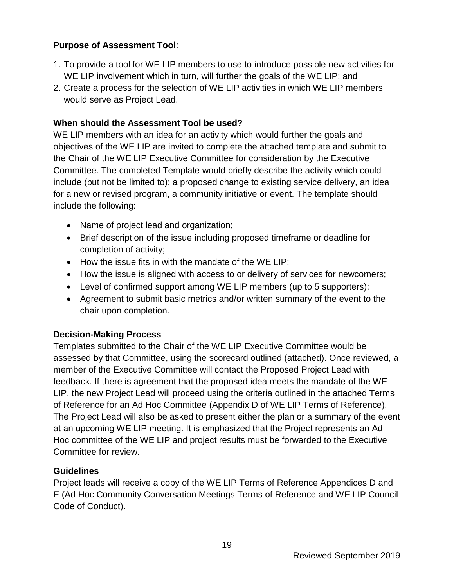#### **Purpose of Assessment Tool**:

- 1. To provide a tool for WE LIP members to use to introduce possible new activities for WE LIP involvement which in turn, will further the goals of the WE LIP; and
- 2. Create a process for the selection of WE LIP activities in which WE LIP members would serve as Project Lead.

#### **When should the Assessment Tool be used?**

WE LIP members with an idea for an activity which would further the goals and objectives of the WE LIP are invited to complete the attached template and submit to the Chair of the WE LIP Executive Committee for consideration by the Executive Committee. The completed Template would briefly describe the activity which could include (but not be limited to): a proposed change to existing service delivery, an idea for a new or revised program, a community initiative or event. The template should include the following:

- Name of project lead and organization;
- Brief description of the issue including proposed timeframe or deadline for completion of activity;
- How the issue fits in with the mandate of the WE LIP;
- How the issue is aligned with access to or delivery of services for newcomers;
- Level of confirmed support among WE LIP members (up to 5 supporters);
- Agreement to submit basic metrics and/or written summary of the event to the chair upon completion.

#### **Decision-Making Process**

Templates submitted to the Chair of the WE LIP Executive Committee would be assessed by that Committee, using the scorecard outlined (attached). Once reviewed, a member of the Executive Committee will contact the Proposed Project Lead with feedback. If there is agreement that the proposed idea meets the mandate of the WE LIP, the new Project Lead will proceed using the criteria outlined in the attached Terms of Reference for an Ad Hoc Committee (Appendix D of WE LIP Terms of Reference). The Project Lead will also be asked to present either the plan or a summary of the event at an upcoming WE LIP meeting. It is emphasized that the Project represents an Ad Hoc committee of the WE LIP and project results must be forwarded to the Executive Committee for review.

#### **Guidelines**

Project leads will receive a copy of the WE LIP Terms of Reference Appendices D and E (Ad Hoc Community Conversation Meetings Terms of Reference and WE LIP Council Code of Conduct).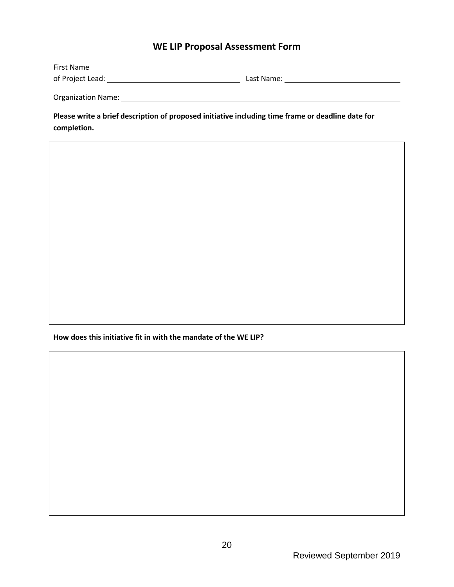#### **WE LIP Proposal Assessment Form**

| First Name         |            |
|--------------------|------------|
| of Project Lead:   | Last Name: |
|                    |            |
| Organization Name: |            |

**Please write a brief description of proposed initiative including time frame or deadline date for completion.**

**How does this initiative fit in with the mandate of the WE LIP?**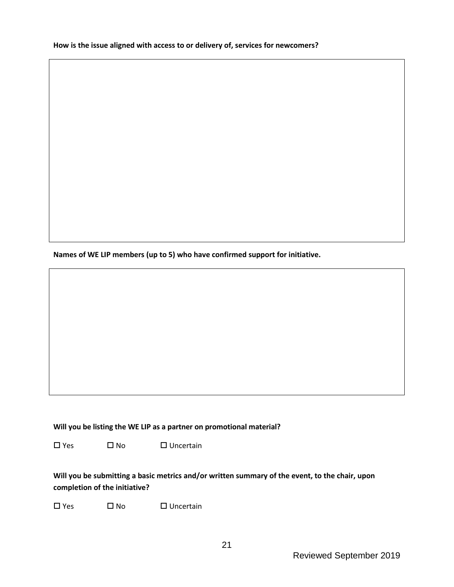**How is the issue aligned with access to or delivery of, services for newcomers?**

**Names of WE LIP members (up to 5) who have confirmed support for initiative.**

**Will you be listing the WE LIP as a partner on promotional material?**

 $\square$  Yes  $\square$  No  $\square$  Uncertain

**Will you be submitting a basic metrics and/or written summary of the event, to the chair, upon completion of the initiative?**

 $\square$  Yes  $\square$  No  $\square$  Uncertain